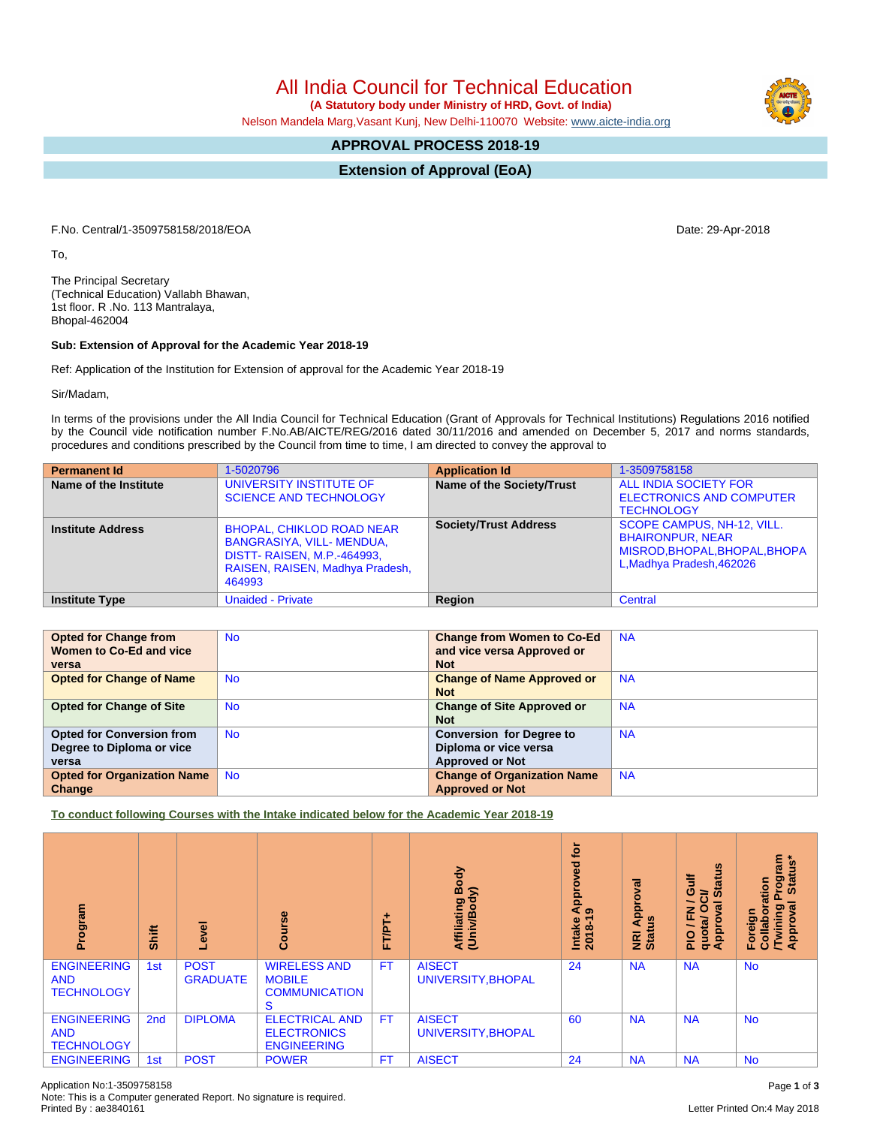All India Council for Technical Education

 **(A Statutory body under Ministry of HRD, Govt. of India)**

Nelson Mandela Marg,Vasant Kunj, New Delhi-110070 Website: [www.aicte-india.org](http://www.aicte-india.org)

## **APPROVAL PROCESS 2018-19**

**Extension of Approval (EoA)**

F.No. Central/1-3509758158/2018/EOA Date: 29-Apr-2018

To,

The Principal Secretary (Technical Education) Vallabh Bhawan, 1st floor. R .No. 113 Mantralaya, Bhopal-462004

## **Sub: Extension of Approval for the Academic Year 2018-19**

Ref: Application of the Institution for Extension of approval for the Academic Year 2018-19

Sir/Madam,

In terms of the provisions under the All India Council for Technical Education (Grant of Approvals for Technical Institutions) Regulations 2016 notified by the Council vide notification number F.No.AB/AICTE/REG/2016 dated 30/11/2016 and amended on December 5, 2017 and norms standards, procedures and conditions prescribed by the Council from time to time, I am directed to convey the approval to

| <b>Permanent Id</b>      | 1-5020796                                                                                                                                        | <b>Application Id</b>        | 1-3509758158                                                                                                        |
|--------------------------|--------------------------------------------------------------------------------------------------------------------------------------------------|------------------------------|---------------------------------------------------------------------------------------------------------------------|
| Name of the Institute    | UNIVERSITY INSTITUTE OF<br><b>SCIENCE AND TECHNOLOGY</b>                                                                                         | Name of the Society/Trust    | ALL INDIA SOCIETY FOR<br><b>ELECTRONICS AND COMPUTER</b><br><b>TECHNOLOGY</b>                                       |
| <b>Institute Address</b> | <b>BHOPAL, CHIKLOD ROAD NEAR</b><br>BANGRASIYA, VILL- MENDUA,<br><b>DISTT- RAISEN, M.P.-464993,</b><br>RAISEN, RAISEN, Madhya Pradesh,<br>464993 | <b>Society/Trust Address</b> | SCOPE CAMPUS, NH-12, VILL.<br><b>BHAIRONPUR, NEAR</b><br>MISROD, BHOPAL, BHOPAL, BHOPA<br>L, Madhya Pradesh, 462026 |
| <b>Institute Type</b>    | <b>Unaided - Private</b>                                                                                                                         | Region                       | Central                                                                                                             |

| <b>Opted for Change from</b>       | <b>No</b> | <b>Change from Women to Co-Ed</b>  | <b>NA</b> |
|------------------------------------|-----------|------------------------------------|-----------|
| Women to Co-Ed and vice            |           | and vice versa Approved or         |           |
| versa                              |           | <b>Not</b>                         |           |
| <b>Opted for Change of Name</b>    | <b>No</b> | <b>Change of Name Approved or</b>  | <b>NA</b> |
|                                    |           | <b>Not</b>                         |           |
| <b>Opted for Change of Site</b>    | <b>No</b> | <b>Change of Site Approved or</b>  | <b>NA</b> |
|                                    |           | <b>Not</b>                         |           |
| <b>Opted for Conversion from</b>   | <b>No</b> | <b>Conversion for Degree to</b>    | <b>NA</b> |
| Degree to Diploma or vice          |           | Diploma or vice versa              |           |
| versa                              |           | <b>Approved or Not</b>             |           |
| <b>Opted for Organization Name</b> | <b>No</b> | <b>Change of Organization Name</b> | <b>NA</b> |
| Change                             |           | <b>Approved or Not</b>             |           |

**To conduct following Courses with the Intake indicated below for the Academic Year 2018-19**

| Program                                               | Shift           | g<br>$\ddot{\mathbf{v}}$       | Course                                                             | ٠<br>FT/PT | Body<br>Affiliating Book<br>(Univ/Body) | <b>b</b><br>yed<br>۰<br>Āppi<br>ာ<br>Intake<br>2018-1 | ಸ<br>٥<br>Appr<br><u>us</u><br>NRI<br>Stat | <b>Status</b><br>ă<br>ဖ<br>ਰੋ<br>∽<br>g<br>z<br>ц,<br>quotal<br>ppro<br>∽<br>$\frac{1}{2}$<br>∢ | Program<br>Status*<br>ation<br><b>Twining</b><br>Approval<br>ō<br>Foreign<br>Collabo |
|-------------------------------------------------------|-----------------|--------------------------------|--------------------------------------------------------------------|------------|-----------------------------------------|-------------------------------------------------------|--------------------------------------------|-------------------------------------------------------------------------------------------------|--------------------------------------------------------------------------------------|
| <b>ENGINEERING</b><br><b>AND</b><br><b>TECHNOLOGY</b> | 1st             | <b>POST</b><br><b>GRADUATE</b> | <b>WIRELESS AND</b><br><b>MOBILE</b><br><b>COMMUNICATION</b><br>S. | <b>FT</b>  | <b>AISECT</b><br>UNIVERSITY, BHOPAL     | 24                                                    | <b>NA</b>                                  | <b>NA</b>                                                                                       | <b>No</b>                                                                            |
| <b>ENGINEERING</b><br><b>AND</b><br><b>TECHNOLOGY</b> | 2 <sub>nd</sub> | <b>DIPLOMA</b>                 | <b>ELECTRICAL AND</b><br><b>ELECTRONICS</b><br><b>ENGINEERING</b>  | <b>FT</b>  | <b>AISECT</b><br>UNIVERSITY, BHOPAL     | 60                                                    | <b>NA</b>                                  | <b>NA</b>                                                                                       | <b>No</b>                                                                            |
| <b>ENGINEERING</b>                                    | 1st             | <b>POST</b>                    | <b>POWER</b>                                                       | <b>FT</b>  | <b>AISECT</b>                           | 24                                                    | <b>NA</b>                                  | <b>NA</b>                                                                                       | <b>No</b>                                                                            |

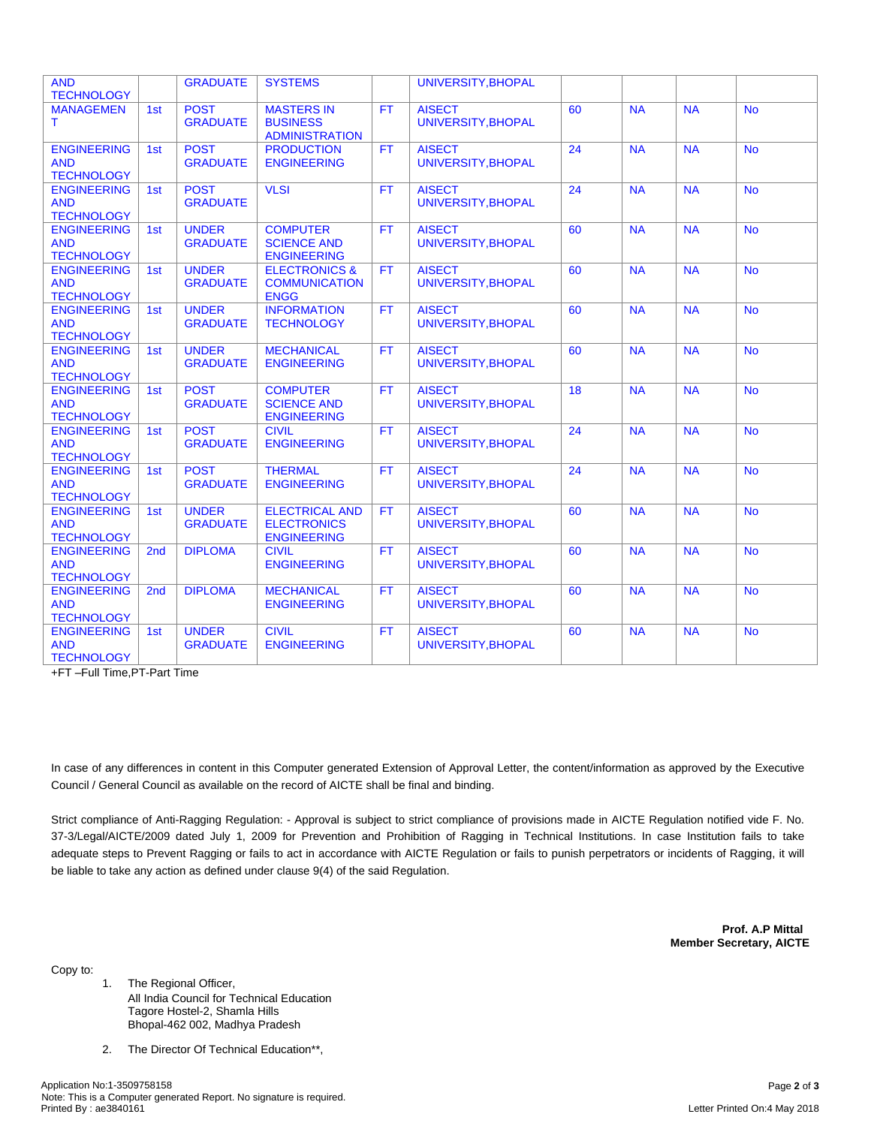| <b>AND</b><br><b>TECHNOLOGY</b>                       |                 | <b>GRADUATE</b>                 | <b>SYSTEMS</b>                                                    |           | UNIVERSITY, BHOPAL                  |                 |                |           |           |
|-------------------------------------------------------|-----------------|---------------------------------|-------------------------------------------------------------------|-----------|-------------------------------------|-----------------|----------------|-----------|-----------|
| <b>MANAGEMEN</b><br>Τ                                 | 1st             | <b>POST</b><br><b>GRADUATE</b>  | <b>MASTERS IN</b><br><b>BUSINESS</b><br><b>ADMINISTRATION</b>     | <b>FT</b> | <b>AISECT</b><br>UNIVERSITY, BHOPAL | 60              | <b>NA</b>      | <b>NA</b> | <b>No</b> |
| <b>ENGINEERING</b><br><b>AND</b><br><b>TECHNOLOGY</b> | 1st             | <b>POST</b><br><b>GRADUATE</b>  | <b>PRODUCTION</b><br><b>ENGINEERING</b>                           | <b>FT</b> | <b>AISECT</b><br>UNIVERSITY, BHOPAL | 24              | <b>NA</b>      | <b>NA</b> | <b>No</b> |
| <b>ENGINEERING</b><br><b>AND</b><br><b>TECHNOLOGY</b> | 1st             | <b>POST</b><br><b>GRADUATE</b>  | <b>VLSI</b>                                                       | FT        | <b>AISECT</b><br>UNIVERSITY, BHOPAL | $\overline{24}$ | N <sub>A</sub> | <b>NA</b> | <b>No</b> |
| <b>ENGINEERING</b><br><b>AND</b><br><b>TECHNOLOGY</b> | 1st             | <b>UNDER</b><br><b>GRADUATE</b> | <b>COMPUTER</b><br><b>SCIENCE AND</b><br><b>ENGINEERING</b>       | <b>FT</b> | <b>AISECT</b><br>UNIVERSITY.BHOPAL  | 60              | <b>NA</b>      | <b>NA</b> | <b>No</b> |
| <b>ENGINEERING</b><br><b>AND</b><br><b>TECHNOLOGY</b> | 1st             | <b>UNDER</b><br><b>GRADUATE</b> | <b>ELECTRONICS &amp;</b><br><b>COMMUNICATION</b><br><b>ENGG</b>   | <b>FT</b> | <b>AISECT</b><br>UNIVERSITY, BHOPAL | 60              | <b>NA</b>      | <b>NA</b> | <b>No</b> |
| <b>ENGINEERING</b><br><b>AND</b><br><b>TECHNOLOGY</b> | 1st             | <b>UNDER</b><br><b>GRADUATE</b> | <b>INFORMATION</b><br><b>TECHNOLOGY</b>                           | <b>FT</b> | <b>AISECT</b><br>UNIVERSITY, BHOPAL | 60              | NA             | <b>NA</b> | <b>No</b> |
| <b>ENGINEERING</b><br><b>AND</b><br><b>TECHNOLOGY</b> | 1st             | <b>UNDER</b><br><b>GRADUATE</b> | <b>MECHANICAL</b><br><b>ENGINEERING</b>                           | <b>FT</b> | <b>AISECT</b><br>UNIVERSITY, BHOPAL | 60              | <b>NA</b>      | <b>NA</b> | <b>No</b> |
| <b>ENGINEERING</b><br><b>AND</b><br><b>TECHNOLOGY</b> | 1st             | <b>POST</b><br><b>GRADUATE</b>  | <b>COMPUTER</b><br><b>SCIENCE AND</b><br><b>ENGINEERING</b>       | <b>FT</b> | <b>AISECT</b><br>UNIVERSITY.BHOPAL  | 18              | <b>NA</b>      | <b>NA</b> | <b>No</b> |
| <b>ENGINEERING</b><br><b>AND</b><br><b>TECHNOLOGY</b> | 1st             | <b>POST</b><br><b>GRADUATE</b>  | <b>CIVIL</b><br><b>ENGINEERING</b>                                | <b>FT</b> | <b>AISECT</b><br>UNIVERSITY, BHOPAL | 24              | <b>NA</b>      | <b>NA</b> | <b>No</b> |
| <b>ENGINEERING</b><br><b>AND</b><br><b>TECHNOLOGY</b> | 1st             | <b>POST</b><br><b>GRADUATE</b>  | <b>THERMAL</b><br><b>ENGINEERING</b>                              | <b>FT</b> | <b>AISECT</b><br>UNIVERSITY, BHOPAL | 24              | <b>NA</b>      | <b>NA</b> | <b>No</b> |
| <b>ENGINEERING</b><br><b>AND</b><br><b>TECHNOLOGY</b> | 1st             | <b>UNDER</b><br><b>GRADUATE</b> | <b>ELECTRICAL AND</b><br><b>ELECTRONICS</b><br><b>ENGINEERING</b> | <b>FT</b> | <b>AISECT</b><br>UNIVERSITY, BHOPAL | 60              | <b>NA</b>      | <b>NA</b> | <b>No</b> |
| <b>ENGINEERING</b><br><b>AND</b><br><b>TECHNOLOGY</b> | 2 <sub>nd</sub> | <b>DIPLOMA</b>                  | <b>CIVIL</b><br><b>ENGINEERING</b>                                | <b>FT</b> | <b>AISECT</b><br>UNIVERSITY.BHOPAL  | 60              | <b>NA</b>      | <b>NA</b> | <b>No</b> |
| <b>ENGINEERING</b><br><b>AND</b><br><b>TECHNOLOGY</b> | 2 <sub>nd</sub> | <b>DIPLOMA</b>                  | <b>MECHANICAL</b><br><b>ENGINEERING</b>                           | <b>FT</b> | <b>AISECT</b><br>UNIVERSITY, BHOPAL | 60              | <b>NA</b>      | <b>NA</b> | <b>No</b> |
| <b>ENGINEERING</b><br><b>AND</b><br><b>TECHNOLOGY</b> | 1st             | <b>UNDER</b><br><b>GRADUATE</b> | <b>CIVIL</b><br><b>ENGINEERING</b>                                | <b>FT</b> | <b>AISECT</b><br>UNIVERSITY, BHOPAL | 60              | <b>NA</b>      | <b>NA</b> | <b>No</b> |

+FT –Full Time,PT-Part Time

In case of any differences in content in this Computer generated Extension of Approval Letter, the content/information as approved by the Executive Council / General Council as available on the record of AICTE shall be final and binding.

Strict compliance of Anti-Ragging Regulation: - Approval is subject to strict compliance of provisions made in AICTE Regulation notified vide F. No. 37-3/Legal/AICTE/2009 dated July 1, 2009 for Prevention and Prohibition of Ragging in Technical Institutions. In case Institution fails to take adequate steps to Prevent Ragging or fails to act in accordance with AICTE Regulation or fails to punish perpetrators or incidents of Ragging, it will be liable to take any action as defined under clause 9(4) of the said Regulation.

> **Prof. A.P Mittal Member Secretary, AICTE**

Copy to:

- 1. The Regional Officer, All India Council for Technical Education Tagore Hostel-2, Shamla Hills Bhopal-462 002, Madhya Pradesh
- 2. The Director Of Technical Education\*\*,